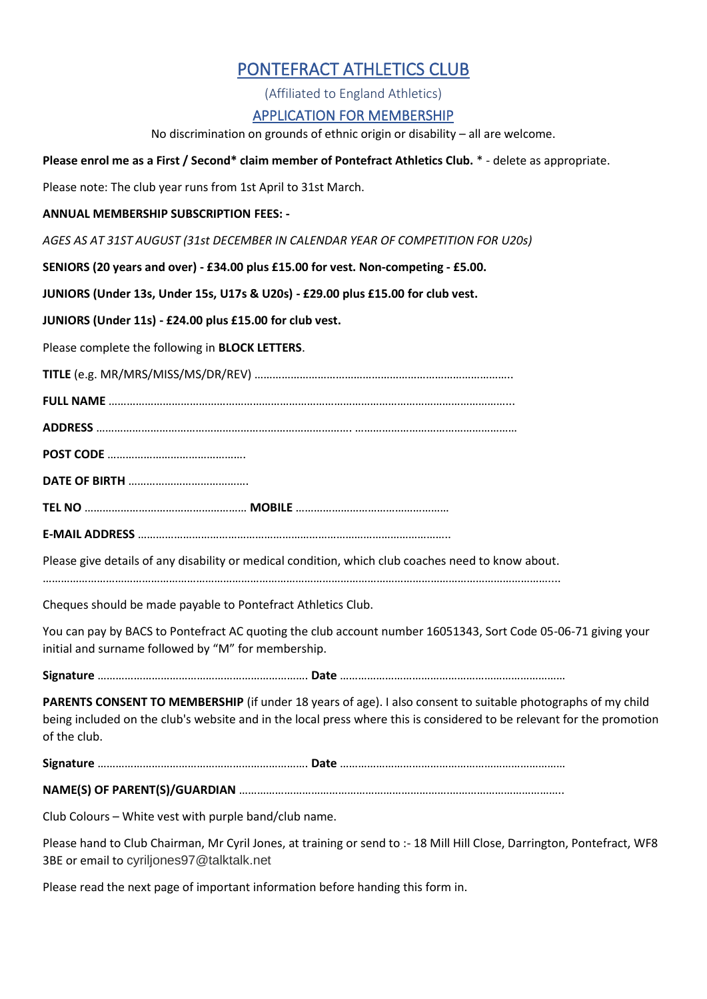## PONTEFRACT ATHLETICS CLUB

(Affiliated to England Athletics)

## APPLICATION FOR MEMBERSHIP

No discrimination on grounds of ethnic origin or disability – all are welcome.

**Please enrol me as a First / Second\* claim member of Pontefract Athletics Club.** \* - delete as appropriate.

Please note: The club year runs from 1st April to 31st March.

**ANNUAL MEMBERSHIP SUBSCRIPTION FEES: -**

*AGES AS AT 31ST AUGUST (31st DECEMBER IN CALENDAR YEAR OF COMPETITION FOR U20s)*

**SENIORS (20 years and over) - £34.00 plus £15.00 for vest. Non-competing - £5.00.** 

**JUNIORS (Under 13s, Under 15s, U17s & U20s) - £29.00 plus £15.00 for club vest.** 

**JUNIORS (Under 11s) - £24.00 plus £15.00 for club vest.** 

Please complete the following in **BLOCK LETTERS**.

**TITLE** (e.g. MR/MRS/MISS/MS/DR/REV) …………………………………………………………………………..

**FULL NAME** ……………………………………………………………………………………………………………………...

**ADDRESS** …………………………………………………………………………. ………………………………………………

**POST CODE** ……………………………………….

**DATE OF BIRTH** ………………………………….

**TEL NO** ……………………………………………… **MOBILE** ……………………………………………

**E-MAIL ADDRESS** …………………………………………………………………………………………..

Please give details of any disability or medical condition, which club coaches need to know about.

……………………………………………………………………………………………………………………………………………………....

Cheques should be made payable to Pontefract Athletics Club.

You can pay by BACS to Pontefract AC quoting the club account number 16051343, Sort Code 05-06-71 giving your initial and surname followed by "M" for membership.

**Signature** ……………………………………………………………. **Date** …………………………………………………………………

**PARENTS CONSENT TO MEMBERSHIP** (if under 18 years of age). I also consent to suitable photographs of my child being included on the club's website and in the local press where this is considered to be relevant for the promotion of the club.

**Signature** ……………………………………………………………. **Date** …………………………………………………………………

**NAME(S) OF PARENT(S)/GUARDIAN** …………………………………………………………….………………………………..

Club Colours – White vest with purple band/club name.

Please hand to Club Chairman, Mr Cyril Jones, at training or send to :- 18 Mill Hill Close, Darrington, Pontefract, WF8 3BE or email to [cyriljones97@talktalk.net](mailto:cyriljones97@talktalk.net)

Please read the next page of important information before handing this form in.